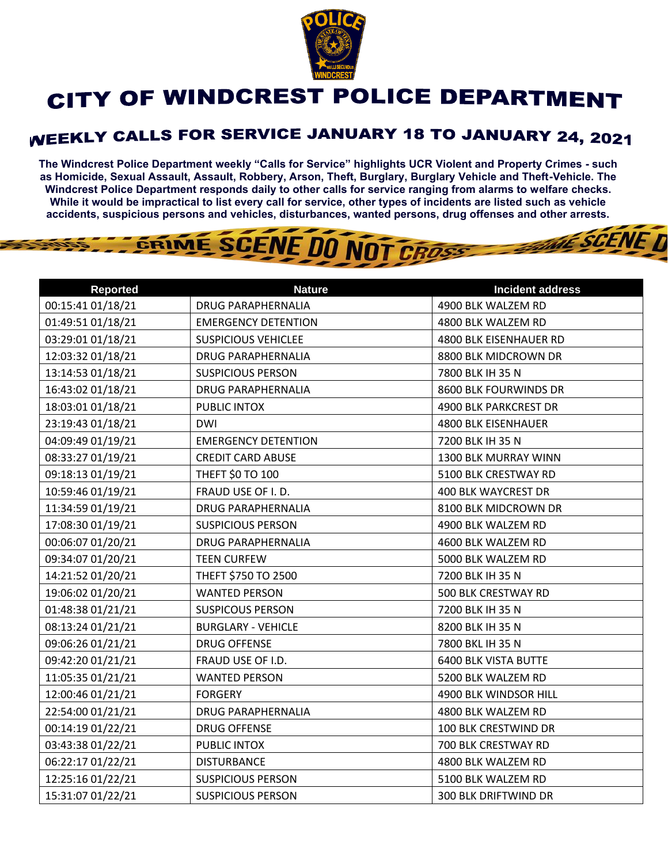

## CITY OF WINDCREST POLICE DEPARTMENT

## **WEEKLY CALLS FOR SERVICE JANUARY 18 TO JANUARY 24, 2021**

**The Windcrest Police Department weekly "Calls for Service" highlights UCR Violent and Property Crimes - such as Homicide, Sexual Assault, Assault, Robbery, Arson, Theft, Burglary, Burglary Vehicle and Theft-Vehicle. The Windcrest Police Department responds daily to other calls for service ranging from alarms to welfare checks. While it would be impractical to list every call for service, other types of incidents are listed such as vehicle accidents, suspicious persons and vehicles, disturbances, wanted persons, drug offenses and other arrests.** 

**THE SCENE TI** 

## GRIME SCENE DO NOT CROSS

| <b>Reported</b>   | <b>Nature</b>              | <b>Incident address</b>     |
|-------------------|----------------------------|-----------------------------|
| 00:15:41 01/18/21 | <b>DRUG PARAPHERNALIA</b>  | 4900 BLK WALZEM RD          |
| 01:49:51 01/18/21 | <b>EMERGENCY DETENTION</b> | 4800 BLK WALZEM RD          |
| 03:29:01 01/18/21 | <b>SUSPICIOUS VEHICLEE</b> | 4800 BLK EISENHAUER RD      |
| 12:03:32 01/18/21 | <b>DRUG PARAPHERNALIA</b>  | 8800 BLK MIDCROWN DR        |
| 13:14:53 01/18/21 | <b>SUSPICIOUS PERSON</b>   | 7800 BLK IH 35 N            |
| 16:43:02 01/18/21 | <b>DRUG PARAPHERNALIA</b>  | 8600 BLK FOURWINDS DR       |
| 18:03:01 01/18/21 | PUBLIC INTOX               | 4900 BLK PARKCREST DR       |
| 23:19:43 01/18/21 | <b>DWI</b>                 | 4800 BLK EISENHAUER         |
| 04:09:49 01/19/21 | <b>EMERGENCY DETENTION</b> | 7200 BLK IH 35 N            |
| 08:33:27 01/19/21 | <b>CREDIT CARD ABUSE</b>   | 1300 BLK MURRAY WINN        |
| 09:18:13 01/19/21 | <b>THEFT \$0 TO 100</b>    | 5100 BLK CRESTWAY RD        |
| 10:59:46 01/19/21 | FRAUD USE OF I.D.          | 400 BLK WAYCREST DR         |
| 11:34:59 01/19/21 | <b>DRUG PARAPHERNALIA</b>  | 8100 BLK MIDCROWN DR        |
| 17:08:30 01/19/21 | <b>SUSPICIOUS PERSON</b>   | 4900 BLK WALZEM RD          |
| 00:06:07 01/20/21 | <b>DRUG PARAPHERNALIA</b>  | 4600 BLK WALZEM RD          |
| 09:34:07 01/20/21 | <b>TEEN CURFEW</b>         | 5000 BLK WALZEM RD          |
| 14:21:52 01/20/21 | THEFT \$750 TO 2500        | 7200 BLK IH 35 N            |
| 19:06:02 01/20/21 | <b>WANTED PERSON</b>       | 500 BLK CRESTWAY RD         |
| 01:48:38 01/21/21 | <b>SUSPICOUS PERSON</b>    | 7200 BLK IH 35 N            |
| 08:13:24 01/21/21 | <b>BURGLARY - VEHICLE</b>  | 8200 BLK IH 35 N            |
| 09:06:26 01/21/21 | <b>DRUG OFFENSE</b>        | 7800 BKL IH 35 N            |
| 09:42:20 01/21/21 | FRAUD USE OF I.D.          | <b>6400 BLK VISTA BUTTE</b> |
| 11:05:35 01/21/21 | <b>WANTED PERSON</b>       | 5200 BLK WALZEM RD          |
| 12:00:46 01/21/21 | <b>FORGERY</b>             | 4900 BLK WINDSOR HILL       |
| 22:54:00 01/21/21 | <b>DRUG PARAPHERNALIA</b>  | 4800 BLK WALZEM RD          |
| 00:14:19 01/22/21 | <b>DRUG OFFENSE</b>        | 100 BLK CRESTWIND DR        |
| 03:43:38 01/22/21 | PUBLIC INTOX               | 700 BLK CRESTWAY RD         |
| 06:22:17 01/22/21 | <b>DISTURBANCE</b>         | 4800 BLK WALZEM RD          |
| 12:25:16 01/22/21 | <b>SUSPICIOUS PERSON</b>   | 5100 BLK WALZEM RD          |
| 15:31:07 01/22/21 | <b>SUSPICIOUS PERSON</b>   | <b>300 BLK DRIFTWIND DR</b> |